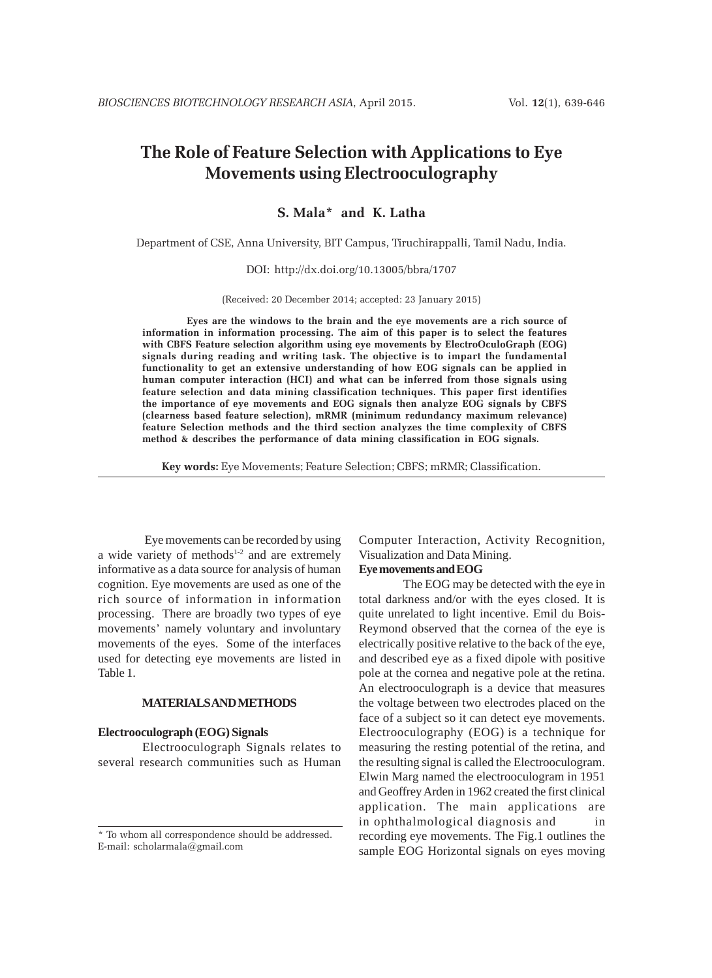# **The Role of Feature Selection with Applications to Eye Movements using Electrooculography**

# **S. Mala\* and K. Latha**

Department of CSE, Anna University, BIT Campus, Tiruchirappalli, Tamil Nadu, India.

#### DOI: http://dx.doi.org/10.13005/bbra/1707

(Received: 20 December 2014; accepted: 23 January 2015)

**Eyes are the windows to the brain and the eye movements are a rich source of information in information processing. The aim of this paper is to select the features with CBFS Feature selection algorithm using eye movements by ElectroOculoGraph (EOG) signals during reading and writing task. The objective is to impart the fundamental functionality to get an extensive understanding of how EOG signals can be applied in human computer interaction (HCI) and what can be inferred from those signals using feature selection and data mining classification techniques. This paper first identifies the importance of eye movements and EOG signals then analyze EOG signals by CBFS (clearness based feature selection), mRMR (minimum redundancy maximum relevance) feature Selection methods and the third section analyzes the time complexity of CBFS method & describes the performance of data mining classification in EOG signals.**

**Key words:** Eye Movements; Feature Selection; CBFS; mRMR; Classification.

 Eye movements can be recorded by using a wide variety of methods<sup>1-2</sup> and are extremely informative as a data source for analysis of human cognition. Eye movements are used as one of the rich source of information in information processing. There are broadly two types of eye movements' namely voluntary and involuntary movements of the eyes. Some of the interfaces used for detecting eye movements are listed in Table 1.

# **MATERIALS AND METHODS**

# **Electrooculograph (EOG) Signals**

Electrooculograph Signals relates to several research communities such as Human Computer Interaction, Activity Recognition, Visualization and Data Mining.

# **Eye movements and EOG**

The EOG may be detected with the eye in total darkness and/or with the eyes closed. It is quite unrelated to light incentive. Emil du Bois-Reymond observed that the cornea of the eye is electrically positive relative to the back of the eye, and described eye as a fixed dipole with positive pole at the cornea and negative pole at the retina. An electrooculograph is a device that measures the voltage between two electrodes placed on the face of a subject so it can detect eye movements. Electrooculography (EOG) is a technique for measuring the resting potential of the retina, and the resulting signal is called the Electrooculogram. Elwin Marg named the electrooculogram in 1951 and Geoffrey Arden in 1962 created the first clinical application. The main applications are in ophthalmological diagnosis and in recording eye movements. The Fig.1 outlines the sample EOG Horizontal signals on eyes moving

<sup>\*</sup> To whom all correspondence should be addressed. E-mail: scholarmala@gmail.com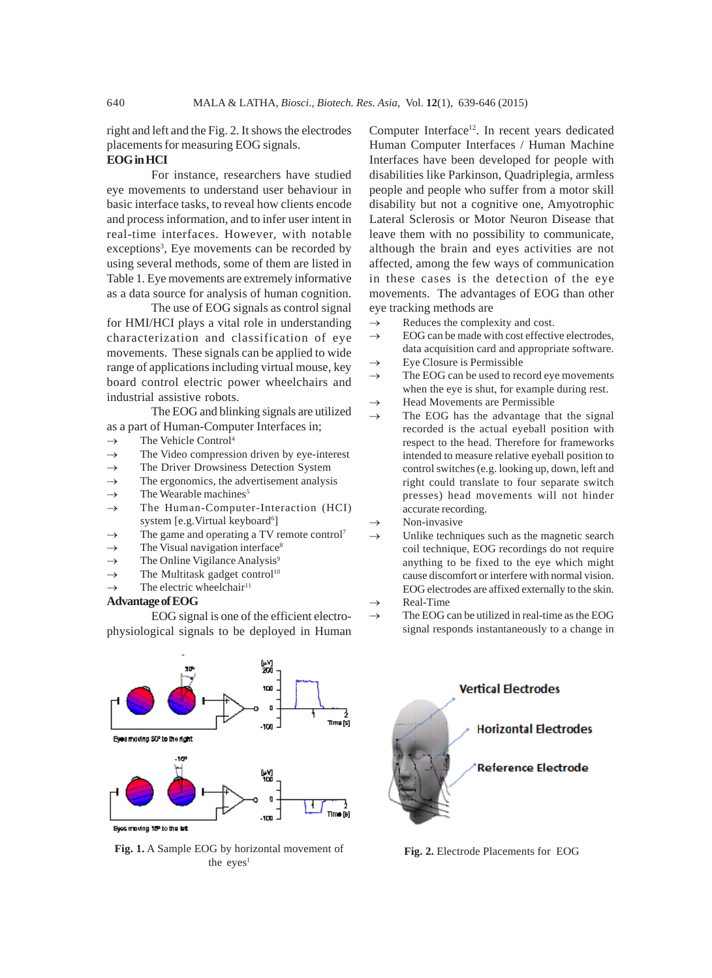right and left and the Fig. 2. It shows the electrodes placements for measuring EOG signals.

#### **EOG in HCI**

For instance, researchers have studied eye movements to understand user behaviour in basic interface tasks, to reveal how clients encode and process information, and to infer user intent in real-time interfaces. However, with notable exceptions<sup>3</sup>, Eye movements can be recorded by using several methods, some of them are listed in Table 1. Eye movements are extremely informative as a data source for analysis of human cognition.

The use of EOG signals as control signal for HMI/HCI plays a vital role in understanding characterization and classification of eye movements. These signals can be applied to wide range of applications including virtual mouse, key board control electric power wheelchairs and industrial assistive robots.

The EOG and blinking signals are utilized as a part of Human-Computer Interfaces in;

- $\rightarrow$  The Vehicle Control<sup>4</sup>
- $\rightarrow$  The Video compression driven by eye-interest
- $\rightarrow$  The Driver Drowsiness Detection System
- $\rightarrow$  The ergonomics, the advertisement analysis
- The Wearable machines<sup>5</sup>
- $\rightarrow$  The Human-Computer-Interaction (HCI) system [e.g.Virtual keyboard<sup>6</sup>]
- The game and operating a TV remote control<sup>7</sup>
- The Visual navigation interface<sup>8</sup>
- $\rightarrow$  The Online Vigilance Analysis<sup>9</sup>
- $\rightarrow$  The Multitask gadget control<sup>10</sup>
- The electric wheelchair<sup>11</sup>

#### **Advantage of EOG**

EOG signal is one of the efficient electrophysiological signals to be deployed in Human



**Fig. 1.** A Sample EOG by horizontal movement of **Fig. 2.** Electrode Placements for EOG the  $eyes<sup>1</sup>$ 

Computer Interface<sup>12</sup>. In recent years dedicated Human Computer Interfaces / Human Machine Interfaces have been developed for people with disabilities like Parkinson, Quadriplegia, armless people and people who suffer from a motor skill disability but not a cognitive one, Amyotrophic Lateral Sclerosis or Motor Neuron Disease that leave them with no possibility to communicate, although the brain and eyes activities are not affected, among the few ways of communication in these cases is the detection of the eye movements. The advantages of EOG than other eye tracking methods are

- $\rightarrow$  Reduces the complexity and cost.
- $\rightarrow$  EOG can be made with cost effective electrodes, data acquisition card and appropriate software.  $\rightarrow$  Eye Closure is Permissible
- $\rightarrow$  The EOG can be used to record eye movements
- when the eye is shut, for example during rest.
- $\rightarrow$  Head Movements are Permissible
- The EOG has the advantage that the signal recorded is the actual eyeball position with respect to the head. Therefore for frameworks intended to measure relative eyeball position to control switches (e.g. looking up, down, left and right could translate to four separate switch presses) head movements will not hinder accurate recording.
- Non-invasive
- $\rightarrow$  Unlike techniques such as the magnetic search coil technique, EOG recordings do not require anything to be fixed to the eye which might cause discomfort or interfere with normal vision. EOG electrodes are affixed externally to the skin. Real-Time
- $\rightarrow$  The EOG can be utilized in real-time as the EOG signal responds instantaneously to a change in

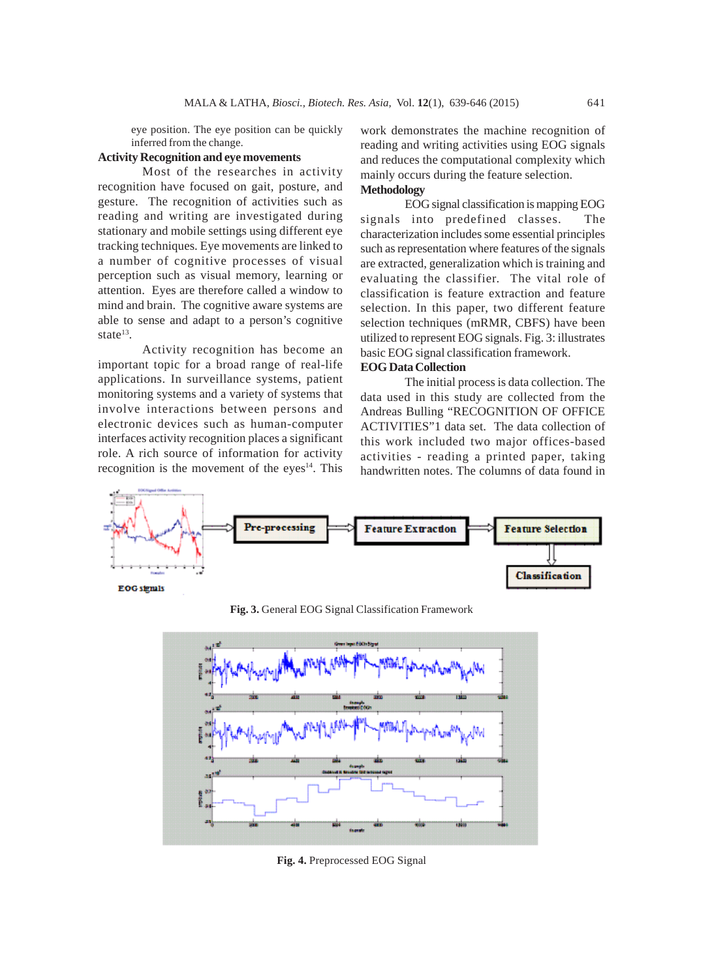eye position. The eye position can be quickly inferred from the change.

## **Activity Recognition and eye movements**

Most of the researches in activity recognition have focused on gait, posture, and gesture. The recognition of activities such as reading and writing are investigated during stationary and mobile settings using different eye tracking techniques. Eye movements are linked to a number of cognitive processes of visual perception such as visual memory, learning or attention. Eyes are therefore called a window to mind and brain. The cognitive aware systems are able to sense and adapt to a person's cognitive state $13$ .

Activity recognition has become an important topic for a broad range of real-life applications. In surveillance systems, patient monitoring systems and a variety of systems that involve interactions between persons and electronic devices such as human-computer interfaces activity recognition places a significant role. A rich source of information for activity recognition is the movement of the eyes $14$ . This work demonstrates the machine recognition of reading and writing activities using EOG signals and reduces the computational complexity which mainly occurs during the feature selection. **Methodology**

EOG signal classification is mapping EOG signals into predefined classes. The characterization includes some essential principles such as representation where features of the signals are extracted, generalization which is training and evaluating the classifier. The vital role of classification is feature extraction and feature selection. In this paper, two different feature selection techniques (mRMR, CBFS) have been utilized to represent EOG signals. Fig. 3: illustrates basic EOG signal classification framework.

# **EOG Data Collection**

The initial process is data collection. The data used in this study are collected from the Andreas Bulling "RECOGNITION OF OFFICE ACTIVITIES"1 data set. The data collection of this work included two major offices-based activities - reading a printed paper, taking handwritten notes. The columns of data found in



**Fig. 3.** General EOG Signal Classification Framework



**Fig. 4.** Preprocessed EOG Signal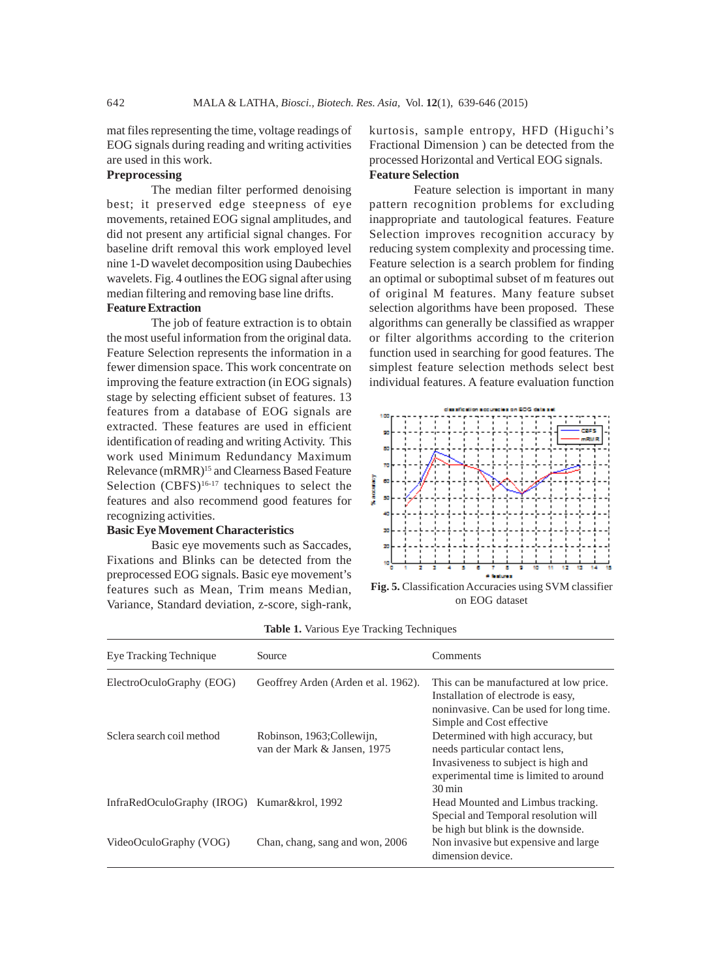mat files representing the time, voltage readings of EOG signals during reading and writing activities are used in this work.

## **Preprocessing**

The median filter performed denoising best; it preserved edge steepness of eye movements, retained EOG signal amplitudes, and did not present any artificial signal changes. For baseline drift removal this work employed level nine 1-D wavelet decomposition using Daubechies wavelets. Fig. 4 outlines the EOG signal after using median filtering and removing base line drifts.

# **Feature Extraction**

The job of feature extraction is to obtain the most useful information from the original data. Feature Selection represents the information in a fewer dimension space. This work concentrate on improving the feature extraction (in EOG signals) stage by selecting efficient subset of features. 13 features from a database of EOG signals are extracted. These features are used in efficient identification of reading and writing Activity. This work used Minimum Redundancy Maximum Relevance (mRMR)15 and Clearness Based Feature Selection  $(CBFS)^{16-17}$  techniques to select the features and also recommend good features for recognizing activities.

## **Basic Eye Movement Characteristics**

Basic eye movements such as Saccades, Fixations and Blinks can be detected from the preprocessed EOG signals. Basic eye movement's features such as Mean, Trim means Median, Variance, Standard deviation, z-score, sigh-rank,

kurtosis, sample entropy, HFD (Higuchi's Fractional Dimension ) can be detected from the processed Horizontal and Vertical EOG signals. **Feature Selection**

Feature selection is important in many pattern recognition problems for excluding inappropriate and tautological features. Feature Selection improves recognition accuracy by reducing system complexity and processing time. Feature selection is a search problem for finding an optimal or suboptimal subset of m features out of original M features. Many feature subset selection algorithms have been proposed. These algorithms can generally be classified as wrapper or filter algorithms according to the criterion function used in searching for good features. The simplest feature selection methods select best individual features. A feature evaluation function



on EOG dataset

| Eye Tracking Technique                      | Source                                                    | Comments                                                                                                                                                                     |
|---------------------------------------------|-----------------------------------------------------------|------------------------------------------------------------------------------------------------------------------------------------------------------------------------------|
| ElectroOculoGraphy (EOG)                    | Geoffrey Arden (Arden et al. 1962).                       | This can be manufactured at low price.<br>Installation of electrode is easy,<br>noninvasive. Can be used for long time.<br>Simple and Cost effective                         |
| Sclera search coil method                   | Robinson, 1963; Collewijn,<br>van der Mark & Jansen, 1975 | Determined with high accuracy, but<br>needs particular contact lens,<br>Invasiveness to subject is high and<br>experimental time is limited to around<br>$30 \,\mathrm{min}$ |
| InfraRedOculoGraphy (IROG) Kumar&krol, 1992 |                                                           | Head Mounted and Limbus tracking.<br>Special and Temporal resolution will<br>be high but blink is the downside.                                                              |
| VideoOculoGraphy (VOG)                      | Chan, chang, sang and won, 2006                           | Non invasive but expensive and large.<br>dimension device.                                                                                                                   |

|  |  |  |  |  | Table 1. Various Eye Tracking Techniques |
|--|--|--|--|--|------------------------------------------|
|--|--|--|--|--|------------------------------------------|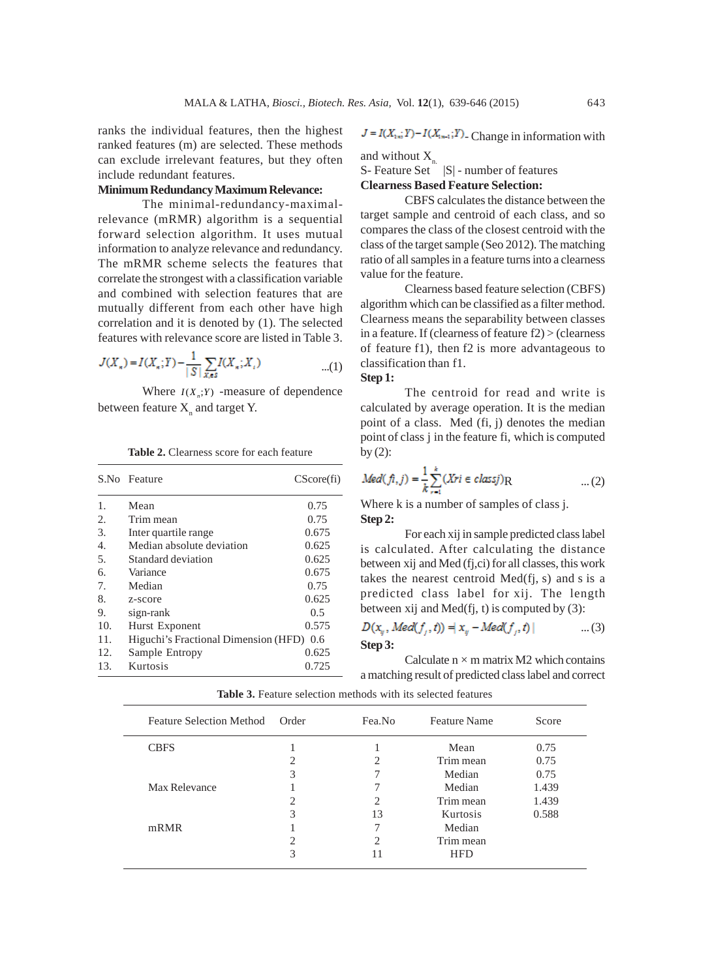ranks the individual features, then the highest ranked features (m) are selected. These methods can exclude irrelevant features, but they often include redundant features.

# **Minimum Redundancy Maximum Relevance:**

The minimal-redundancy-maximalrelevance (mRMR) algorithm is a sequential forward selection algorithm. It uses mutual information to analyze relevance and redundancy. The mRMR scheme selects the features that correlate the strongest with a classification variable and combined with selection features that are mutually different from each other have high correlation and it is denoted by (1). The selected features with relevance score are listed in Table 3.

$$
J(X_{\kappa}) = I(X_{\kappa}; Y) - \frac{1}{|S|} \sum_{X, \epsilon S} I(X_{\kappa}; X_{\epsilon}) \tag{1}
$$

Where  $I(X_n;Y)$  -measure of dependence between feature  $X_{n}$  and target Y.

|                  | S.No Feature                         | $CScore(f_i)$ |
|------------------|--------------------------------------|---------------|
| $\mathbf{1}$ .   | Mean                                 | 0.75          |
| 2.               | Trim mean                            | 0.75          |
| 3.               | Inter quartile range                 | 0.675         |
| $\overline{4}$ . | Median absolute deviation            | 0.625         |
| 5.               | Standard deviation                   | 0.625         |
| б.               | Variance                             | 0.675         |
| 7.               | Median                               | 0.75          |
| 8.               | z-score                              | 0.625         |
| 9.               | sign-rank                            | 0.5           |
| 10.              | Hurst Exponent                       | 0.575         |
| 11.              | Higuchi's Fractional Dimension (HFD) | 0.6           |
| 12.              | Sample Entropy                       | 0.625         |
| 13.              | Kurtosis                             | 0.725         |

**Table 2.** Clearness score for each feature

$$
J = I(X_{1:n}; Y) - I(X_{1:n-1}; Y)
$$
. Change in information with

and without  $X_{n}$ .

 $S-$  Feature Set  $||S||$  - number of features

# **Clearness Based Feature Selection:**

CBFS calculates the distance between the target sample and centroid of each class, and so compares the class of the closest centroid with the class of the target sample (Seo 2012). The matching ratio of all samples in a feature turns into a clearness value for the feature.

Clearness based feature selection (CBFS) algorithm which can be classified as a filter method. Clearness means the separability between classes in a feature. If (clearness of feature f2) > (clearness of feature f1), then f2 is more advantageous to classification than f1.

#### **Step 1:**

The centroid for read and write is calculated by average operation. It is the median point of a class. Med (fi, j) denotes the median point of class j in the feature fi, which is computed by  $(2)$ :

$$
Med(fi,j) = \frac{1}{k} \sum_{r=1}^{k} (Xri \in class j)R
$$
...(2)  
Where k is a number of samples of class i.

Where k is a number of samples of class j. **Step 2:**

For each xij in sample predicted class label is calculated. After calculating the distance between xij and Med (fj,ci) for all classes, this work takes the nearest centroid Med(fj, s) and s is a predicted class label for xij. The length between xij and Med(fj, t) is computed by (3):

$$
D(x_y, Med(f_j, t)) = |x_y - Med(f_j, t)|
$$
 ... (3)  
Step 3:

Calculate  $n \times m$  matrix M2 which contains a matching result of predicted class label and correct

| <b>Feature Selection Method</b> | Order | Fea.No                      | <b>Feature Name</b> | Score |
|---------------------------------|-------|-----------------------------|---------------------|-------|
| <b>CBFS</b>                     |       |                             | Mean                | 0.75  |
|                                 | 2     |                             | Trim mean           | 0.75  |
|                                 | 3     |                             | Median              | 0.75  |
| Max Relevance                   |       |                             | Median              | 1.439 |
|                                 | 2     | $\mathcal{D}_{\mathcal{L}}$ | Trim mean           | 1.439 |
|                                 | 3     | 13                          | Kurtosis            | 0.588 |
| mRMR                            |       | 7                           | Median              |       |
|                                 | ↑     | $\mathfrak{D}$              | Trim mean           |       |
|                                 | 3     |                             | <b>HFD</b>          |       |

**Table 3.** Feature selection methods with its selected features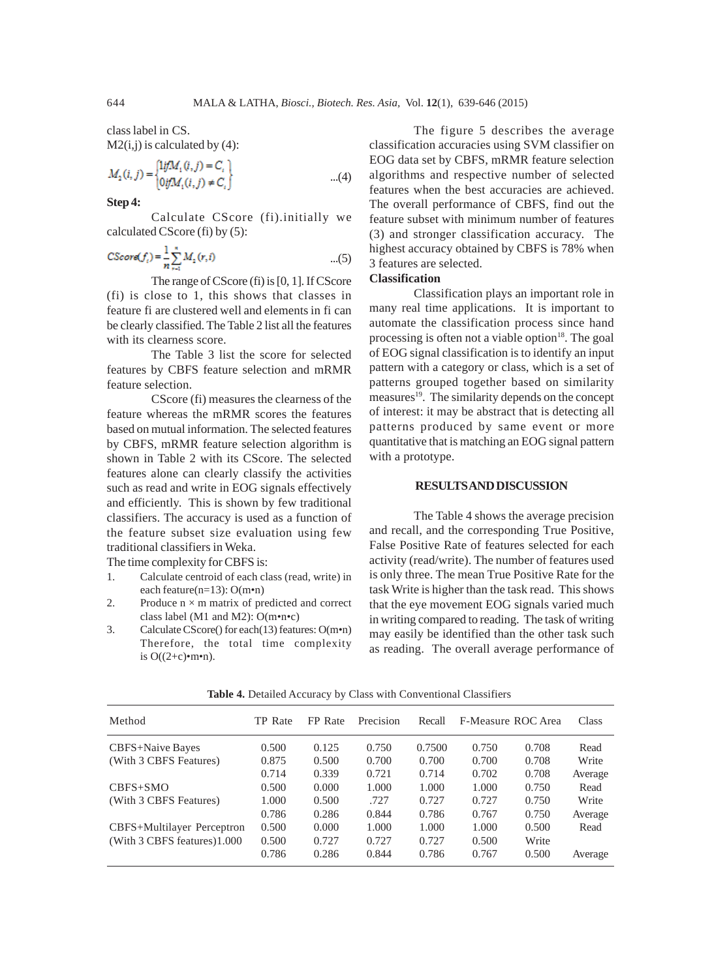class label in CS.  $M2(i,j)$  is calculated by (4):

$$
M_2(i,j) = \begin{cases} \n\text{lif}M_i(i,j) = C_i \\ \n\text{lif}M_i(i,j) \neq C_i \n\end{cases} \tag{4}
$$

**Step 4:**

Calculate CScore (fi).initially we calculated CScore (fi) by (5):

$$
CScore(f_i) = \frac{1}{n} \sum_{r=1}^{n} M_2(r, i)
$$
...(5)

The range of CScore (fi) is [0, 1]. If CScore (fi) is close to 1, this shows that classes in feature fi are clustered well and elements in fi can be clearly classified. The Table 2 list all the features with its clearness score.

The Table 3 list the score for selected features by CBFS feature selection and mRMR feature selection.

CScore (fi) measures the clearness of the feature whereas the mRMR scores the features based on mutual information. The selected features by CBFS, mRMR feature selection algorithm is shown in Table 2 with its CScore. The selected features alone can clearly classify the activities such as read and write in EOG signals effectively and efficiently. This is shown by few traditional classifiers. The accuracy is used as a function of the feature subset size evaluation using few traditional classifiers in Weka.

The time complexity for CBFS is:

- 1. Calculate centroid of each class (read, write) in each feature(n=13): O(m•n)
- 2. Produce  $n \times m$  matrix of predicted and correct class label (M1 and M2): O(m•n•c)
- 3. Calculate CScore() for each(13) features: O(m•n) Therefore, the total time complexity is  $O((2+c)\cdot m \cdot n)$ .

The figure 5 describes the average classification accuracies using SVM classifier on EOG data set by CBFS, mRMR feature selection algorithms and respective number of selected features when the best accuracies are achieved. The overall performance of CBFS, find out the feature subset with minimum number of features (3) and stronger classification accuracy. The highest accuracy obtained by CBFS is 78% when 3 features are selected.

# **Classification**

Classification plays an important role in many real time applications. It is important to automate the classification process since hand processing is often not a viable option $18$ . The goal of EOG signal classification is to identify an input pattern with a category or class, which is a set of patterns grouped together based on similarity measures<sup>19</sup>. The similarity depends on the concept of interest: it may be abstract that is detecting all patterns produced by same event or more quantitative that is matching an EOG signal pattern with a prototype.

#### **RESULTS AND DISCUSSION**

The Table 4 shows the average precision and recall, and the corresponding True Positive, False Positive Rate of features selected for each activity (read/write). The number of features used is only three. The mean True Positive Rate for the task Write is higher than the task read. This shows that the eye movement EOG signals varied much in writing compared to reading. The task of writing may easily be identified than the other task such as reading. The overall average performance of

| Method                      | <b>TP</b> Rate | FP Rate | Precision | Recall |       | F-Measure ROC Area | Class   |
|-----------------------------|----------------|---------|-----------|--------|-------|--------------------|---------|
| <b>CBFS+Naive Bayes</b>     | 0.500          | 0.125   | 0.750     | 0.7500 | 0.750 | 0.708              | Read    |
| (With 3 CBFS Features)      | 0.875          | 0.500   | 0.700     | 0.700  | 0.700 | 0.708              | Write   |
|                             | 0.714          | 0.339   | 0.721     | 0.714  | 0.702 | 0.708              | Average |
| $CBFS+SMO$                  | 0.500          | 0.000   | 1.000     | 1.000  | 1.000 | 0.750              | Read    |
| (With 3 CBFS Features)      | 1.000          | 0.500   | .727      | 0.727  | 0.727 | 0.750              | Write   |
|                             | 0.786          | 0.286   | 0.844     | 0.786  | 0.767 | 0.750              | Average |
| CBFS+Multilayer Perceptron  | 0.500          | 0.000   | 1.000     | 1.000  | 1.000 | 0.500              | Read    |
| (With 3 CBFS features)1.000 | 0.500          | 0.727   | 0.727     | 0.727  | 0.500 | Write              |         |
|                             | 0.786          | 0.286   | 0.844     | 0.786  | 0.767 | 0.500              | Average |

**Table 4.** Detailed Accuracy by Class with Conventional Classifiers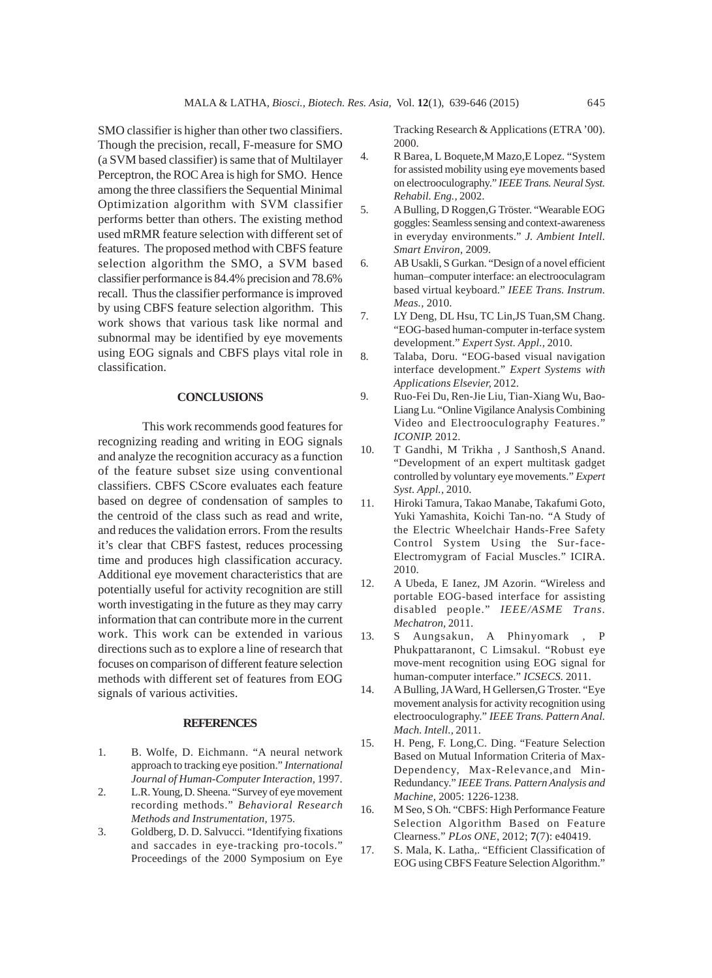SMO classifier is higher than other two classifiers. Though the precision, recall, F-measure for SMO (a SVM based classifier) is same that of Multilayer Perceptron, the ROC Area is high for SMO. Hence among the three classifiers the Sequential Minimal Optimization algorithm with SVM classifier performs better than others. The existing method used mRMR feature selection with different set of features. The proposed method with CBFS feature selection algorithm the SMO, a SVM based classifier performance is 84.4% precision and 78.6% recall. Thus the classifier performance is improved by using CBFS feature selection algorithm. This work shows that various task like normal and subnormal may be identified by eye movements using EOG signals and CBFS plays vital role in classification.

#### **CONCLUSIONS**

This work recommends good features for recognizing reading and writing in EOG signals and analyze the recognition accuracy as a function of the feature subset size using conventional classifiers. CBFS CScore evaluates each feature based on degree of condensation of samples to the centroid of the class such as read and write, and reduces the validation errors. From the results it's clear that CBFS fastest, reduces processing time and produces high classification accuracy. Additional eye movement characteristics that are potentially useful for activity recognition are still worth investigating in the future as they may carry information that can contribute more in the current work. This work can be extended in various directions such as to explore a line of research that focuses on comparison of different feature selection methods with different set of features from EOG signals of various activities.

#### **REFERENCES**

- 1. B. Wolfe, D. Eichmann. "A neural network approach to tracking eye position." *International Journal of Human-Computer Interaction,* 1997.
- 2. L.R. Young, D. Sheena. "Survey of eye movement recording methods." *Behavioral Research Methods and Instrumentation,* 1975.
- 3. Goldberg, D. D. Salvucci. "Identifying fixations and saccades in eye-tracking pro-tocols." Proceedings of the 2000 Symposium on Eye

Tracking Research & Applications (ETRA '00). 2000.

- 4. R Barea, L Boquete,M Mazo,E Lopez. "System for assisted mobility using eye movements based on electrooculography." *IEEE Trans. Neural Syst. Rehabil. Eng.,* 2002.
- 5. A Bulling, D Roggen,G Tröster. "Wearable EOG goggles: Seamless sensing and context-awareness in everyday environments." *J. Ambient Intell. Smart Environ,* 2009.
- 6. AB Usakli, S Gurkan. "Design of a novel efficient human–computer interface: an electrooculagram based virtual keyboard." *IEEE Trans. Instrum. Meas.,* 2010.
- 7. LY Deng, DL Hsu, TC Lin,JS Tuan,SM Chang. "EOG-based human-computer in-terface system development." *Expert Syst. Appl.,* 2010.
- 8. Talaba, Doru. "EOG-based visual navigation interface development." *Expert Systems with Applications Elsevier,* 2012.
- 9. Ruo-Fei Du, Ren-Jie Liu, Tian-Xiang Wu, Bao-Liang Lu. "Online Vigilance Analysis Combining Video and Electrooculography Features." *ICONIP.* 2012.
- 10. T Gandhi, M Trikha , J Santhosh,S Anand. "Development of an expert multitask gadget controlled by voluntary eye movements." *Expert Syst. Appl.,* 2010.
- 11. Hiroki Tamura, Takao Manabe, Takafumi Goto, Yuki Yamashita, Koichi Tan-no. "A Study of the Electric Wheelchair Hands-Free Safety Control System Using the Sur-face-Electromygram of Facial Muscles." ICIRA. 2010.
- 12. A Ubeda, E Ianez, JM Azorin. "Wireless and portable EOG-based interface for assisting disabled people." *IEEE/ASME Trans. Mechatron,* 2011.
- 13. S Aungsakun, A Phinyomark , P Phukpattaranont, C Limsakul. "Robust eye move-ment recognition using EOG signal for human-computer interface." *ICSECS.* 2011.
- 14. A Bulling, JA Ward, H Gellersen,G Troster. "Eye movement analysis for activity recognition using electrooculography." *IEEE Trans. Pattern Anal. Mach. Intell.,* 2011.
- 15. H. Peng, F. Long,C. Ding. "Feature Selection Based on Mutual Information Criteria of Max-Dependency, Max-Relevance,and Min-Redundancy." *IEEE Trans. Pattern Analysis and Machine,* 2005: 1226-1238.
- 16. M Seo, S Oh. "CBFS: High Performance Feature Selection Algorithm Based on Feature Clearness." *PLos ONE*, 2012; **7**(7): e40419.
- 17. S. Mala, K. Latha,. "Efficient Classification of EOG using CBFS Feature Selection Algorithm."